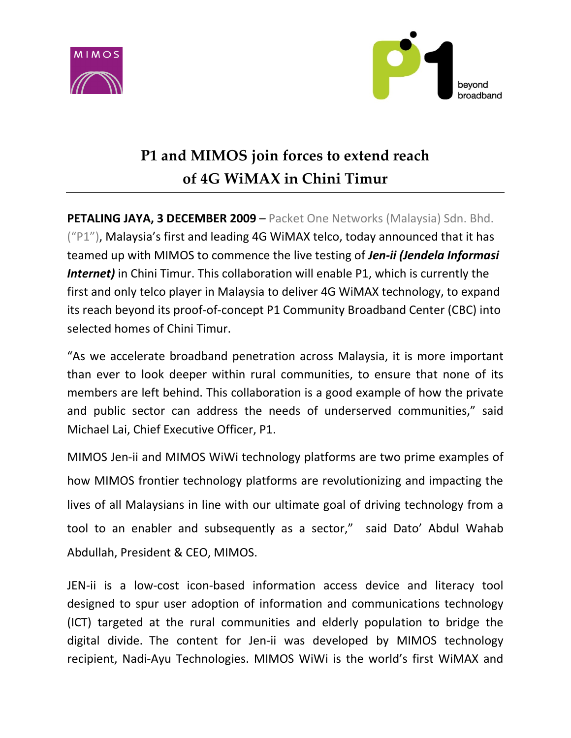



# P1 and MIMOS join forces to extend reach of 4G WiMAX in Chini Timur

PETALING JAYA, 3 DECEMBER 2009 – Packet One Networks (Malaysia) Sdn. Bhd.  $($ "P1"), Malaysia's first and leading 4G WiMAX telco, today announced that it has teamed up with MIMOS to commence the live testing of Jen-ii (Jendela Informasi Internet) in Chini Timur. This collaboration will enable P1, which is currently the first and only telco player in Malaysia to deliver 4G WiMAX technology, to expand its reach beyond its proof-of-concept P1 Community Broadband Center (CBC) into selected homes of Chini Timur.

"As we accelerate broadband penetration across Malaysia, it is more important than ever to look deeper within rural communities, to ensure that none of its members are left behind. This collaboration is a good example of how the private and public sector can address the needs of underserved communities," said Michael Lai, Chief Executive Officer, P1.

MIMOS Jen-ii and MIMOS WiWi technology platforms are two prime examples of how MIMOS frontier technology platforms are revolutionizing and impacting the lives of all Malaysians in line with our ultimate goal of driving technology from a tool to an enabler and subsequently as a sector," said Dato' Abdul Wahab Abdullah, President & CEO, MIMOS.

JEN-ii is a low-cost icon-based information access device and literacy tool designed to spur user adoption of information and communications technology (ICT) targeted at the rural communities and elderly population to bridge the digital divide. The content for Jen-ii was developed by MIMOS technology recipient, Nadi-Ayu Technologies. MIMOS WiWi is the world's first WiMAX and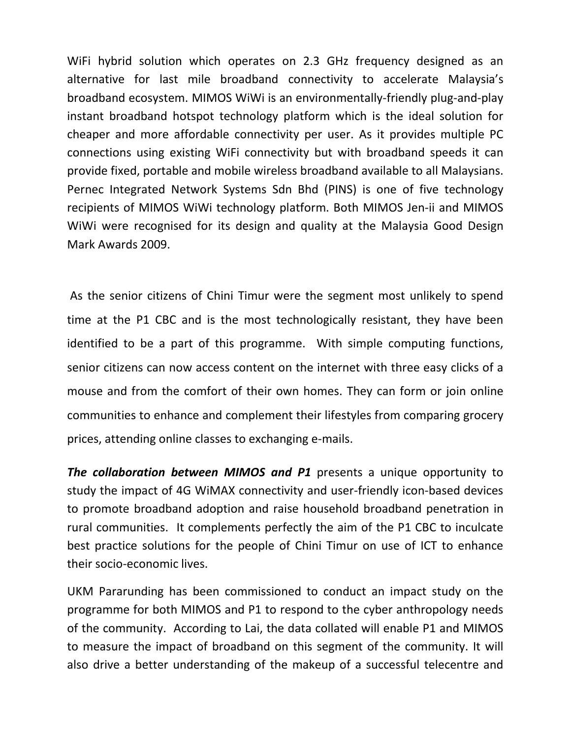WiFi hybrid solution which operates on 2.3 GHz frequency designed as an alternative for last mile broadband connectivity to accelerate Malaysia's broadband ecosystem. MIMOS WiWi is an environmentally-friendly plug-and-play instant broadband hotspot technology platform which is the ideal solution for cheaper and more affordable connectivity per user. As it provides multiple PC connections using existing WiFi connectivity but with broadband speeds it can provide fixed, portable and mobile wireless broadband available to all Malaysians. Pernec Integrated Network Systems Sdn Bhd (PINS) is one of five technology recipients of MIMOS WiWi technology platform. Both MIMOS Jen-ii and MIMOS WiWi were recognised for its design and quality at the Malaysia Good Design Mark Awards 2009.

As the senior citizens of Chini Timur were the segment most unlikely to spend time at the P1 CBC and is the most technologically resistant, they have been identified to be a part of this programme. With simple computing functions, senior citizens can now access content on the internet with three easy clicks of a mouse and from the comfort of their own homes. They can form or join online communities to enhance and complement their lifestyles from comparing grocery prices, attending online classes to exchanging e-mails.

The collaboration between MIMOS and P1 presents a unique opportunity to study the impact of 4G WiMAX connectivity and user-friendly icon-based devices to promote broadband adoption and raise household broadband penetration in rural communities. It complements perfectly the aim of the P1 CBC to inculcate best practice solutions for the people of Chini Timur on use of ICT to enhance their socio-economic lives.

UKM Pararunding has been commissioned to conduct an impact study on the programme for both MIMOS and P1 to respond to the cyber anthropology needs of the community. According to Lai, the data collated will enable P1 and MIMOS to measure the impact of broadband on this segment of the community. It will also drive a better understanding of the makeup of a successful telecentre and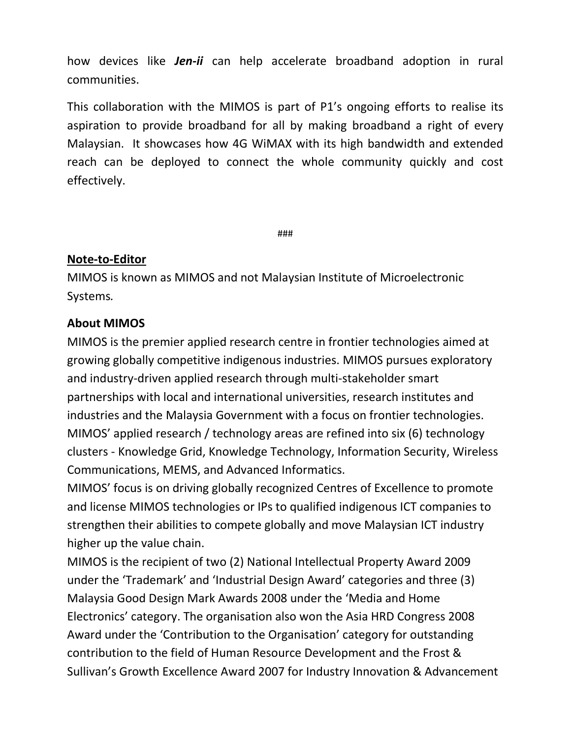how devices like **Jen-ii** can help accelerate broadband adoption in rural communities.

This collaboration with the MIMOS is part of P1's ongoing efforts to realise its aspiration to provide broadband for all by making broadband a right of every Malaysian. It showcases how 4G WiMAX with its high bandwidth and extended reach can be deployed to connect the whole community quickly and cost effectively.

###

### Note-to-Editor

MIMOS is known as MIMOS and not Malaysian Institute of Microelectronic Systems.

### About MIMOS

MIMOS is the premier applied research centre in frontier technologies aimed at growing globally competitive indigenous industries. MIMOS pursues exploratory and industry-driven applied research through multi-stakeholder smart partnerships with local and international universities, research institutes and industries and the Malaysia Government with a focus on frontier technologies. MIMOS' applied research / technology areas are refined into six (6) technology clusters - Knowledge Grid, Knowledge Technology, Information Security, Wireless Communications, MEMS, and Advanced Informatics.

MIMOS' focus is on driving globally recognized Centres of Excellence to promote and license MIMOS technologies or IPs to qualified indigenous ICT companies to strengthen their abilities to compete globally and move Malaysian ICT industry higher up the value chain.

MIMOS is the recipient of two (2) National Intellectual Property Award 2009 under the 'Trademark' and 'Industrial Design Award' categories and three (3) Malaysia Good Design Mark Awards 2008 under the 'Media and Home Electronics' category. The organisation also won the Asia HRD Congress 2008 Award under the 'Contribution to the Organisation' category for outstanding contribution to the field of Human Resource Development and the Frost & Sullivan's Growth Excellence Award 2007 for Industry Innovation & Advancement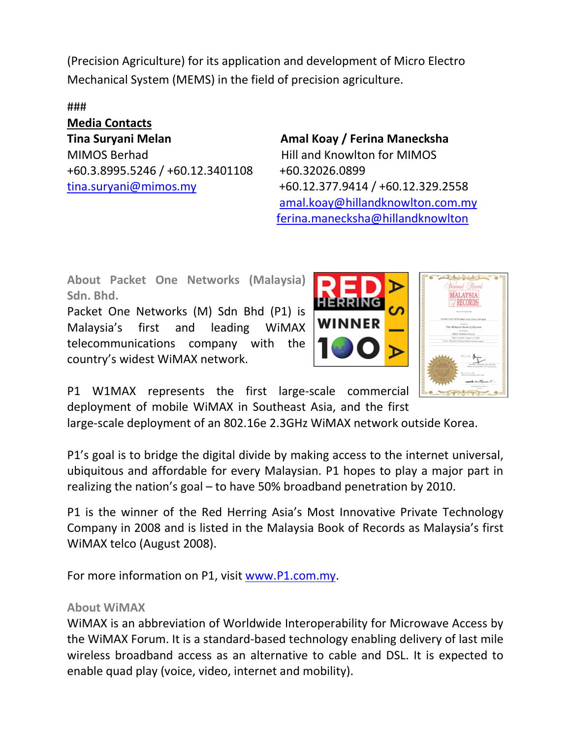(Precision Agriculture) for its application and development of Micro Electro Mechanical System (MEMS) in the field of precision agriculture.

### Media Contacts Tina Suryani Melan **Amal Koay / Ferina Manecksha** MIMOS Berhad **Hill and Knowlton for MIMOS** +60.3.8995.5246 / +60.12.3401108 +60.32026.0899

tina.suryani@mimos.my +60.12.377.9414 / +60.12.329.2558 amal.koay@hillandknowlton.com.my ferina.manecksha@hillandknowlton

About Packet One Networks (Malaysia) Sdn. Bhd.

Packet One Networks (M) Sdn Bhd (P1) is Malaysia's first and leading WiMAX telecommunications company with the country's widest WiMAX network.





P1 W1MAX represents the first large-scale commercial deployment of mobile WiMAX in Southeast Asia, and the first

large-scale deployment of an 802.16e 2.3GHz WiMAX network outside Korea.

P1's goal is to bridge the digital divide by making access to the internet universal, ubiquitous and affordable for every Malaysian. P1 hopes to play a major part in realizing the nation's goal – to have 50% broadband penetration by 2010.

P1 is the winner of the Red Herring Asia's Most Innovative Private Technology Company in 2008 and is listed in the Malaysia Book of Records as Malaysia's first WiMAX telco (August 2008).

For more information on P1, visit www.P1.com.my.

## About WiMAX

WiMAX is an abbreviation of Worldwide Interoperability for Microwave Access by the WiMAX Forum. It is a standard-based technology enabling delivery of last mile wireless broadband access as an alternative to cable and DSL. It is expected to enable quad play (voice, video, internet and mobility).